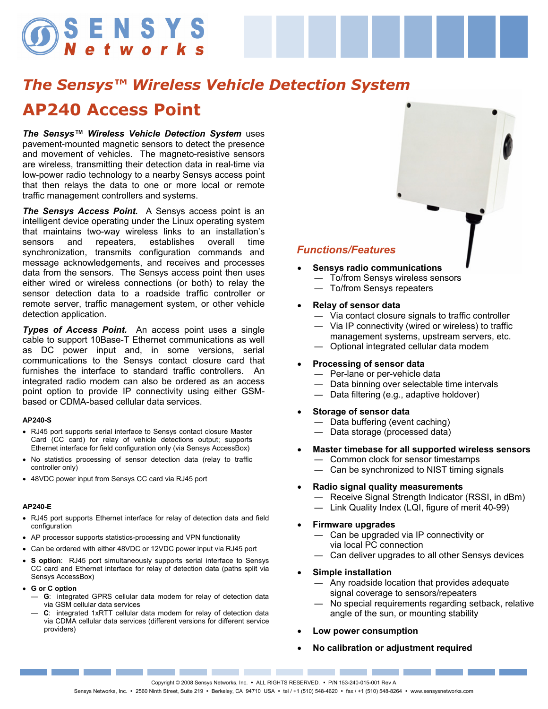# **SENSYS**

# *The Sensys™ Wireless Vehicle Detection System*  **AP240 Access Point**

*The Sensys™ Wireless Vehicle Detection System* uses pavement-mounted magnetic sensors to detect the presence and movement of vehicles. The magneto-resistive sensors are wireless, transmitting their detection data in real-time via low-power radio technology to a nearby Sensys access point that then relays the data to one or more local or remote traffic management controllers and systems.

*The Sensys Access Point.* A Sensys access point is an intelligent device operating under the Linux operating system that maintains two-way wireless links to an installation's sensors and repeaters, establishes overall time synchronization, transmits configuration commands and message acknowledgements, and receives and processes data from the sensors. The Sensys access point then uses either wired or wireless connections (or both) to relay the sensor detection data to a roadside traffic controller or remote server, traffic management system, or other vehicle detection application.

*Types of Access Point.* An access point uses a single cable to support 10Base-T Ethernet communications as well as DC power input and, in some versions, serial communications to the Sensys contact closure card that furnishes the interface to standard traffic controllers. An integrated radio modem can also be ordered as an access point option to provide IP connectivity using either GSMbased or CDMA-based cellular data services.

#### **AP240-S**

- RJ45 port supports serial interface to Sensys contact closure Master Card (CC card) for relay of vehicle detections output; supports Ethernet interface for field configuration only (via Sensys AccessBox)
- No statistics processing of sensor detection data (relay to traffic controller only)
- 48VDC power input from Sensys CC card via RJ45 port

#### **AP240-E**

- RJ45 port supports Ethernet interface for relay of detection data and field configuration
- AP processor supports statistics-processing and VPN functionality

the control of the control of the

- Can be ordered with either 48VDC or 12VDC power input via RJ45 port
- **S option**: RJ45 port simultaneously supports serial interface to Sensys CC card and Ethernet interface for relay of detection data (paths split via Sensys AccessBox)
- **G or C option**
	- ― **G**: integrated GPRS cellular data modem for relay of detection data via GSM cellular data services
	- ― **C**: integrated 1xRTT cellular data modem for relay of detection data via CDMA cellular data services (different versions for different service providers)

a sa Bala

**STATISTICS** 

#### *Functions/Features*

- **Sensys radio communications** 
	- ― To/from Sensys wireless sensors
	- ― To/from Sensys repeaters
- **Relay of sensor data** 
	- ― Via contact closure signals to traffic controller
	- ― Via IP connectivity (wired or wireless) to traffic management systems, upstream servers, etc.
	- ― Optional integrated cellular data modem
- **Processing of sensor data** 
	- ― Per-lane or per-vehicle data
	- ― Data binning over selectable time intervals
	- ― Data filtering (e.g., adaptive holdover)
- **Storage of sensor data** 
	- ― Data buffering (event caching)
	- ― Data storage (processed data)
- **Master timebase for all supported wireless sensors** 
	- ― Common clock for sensor timestamps
	- ― Can be synchronized to NIST timing signals
- **Radio signal quality measurements** 
	- ― Receive Signal Strength Indicator (RSSI, in dBm)
	- ― Link Quality Index (LQI, figure of merit 40-99)
- **Firmware upgrades** 
	- ― Can be upgraded via IP connectivity or via local PC connection
	- ― Can deliver upgrades to all other Sensys devices
- **Simple installation** 
	- ― Any roadside location that provides adequate signal coverage to sensors/repeaters
	- No special requirements regarding setback, relative angle of the sun, or mounting stability

- **Low power consumption**
- **No calibration or adjustment required**

Copyright © 2008 Sensys Networks, Inc. • ALL RIGHTS RESERVED. • P/N 153-240-015-001 Rev A

**STATISTICS** 

Sensys Networks, Inc. • 2560 Ninth Street, Suite 219 • Berkeley, CA 94710 USA • tel / +1 (510) 548-4620 • fax / +1 (510) 548-8264 • www.sensysnetworks.com